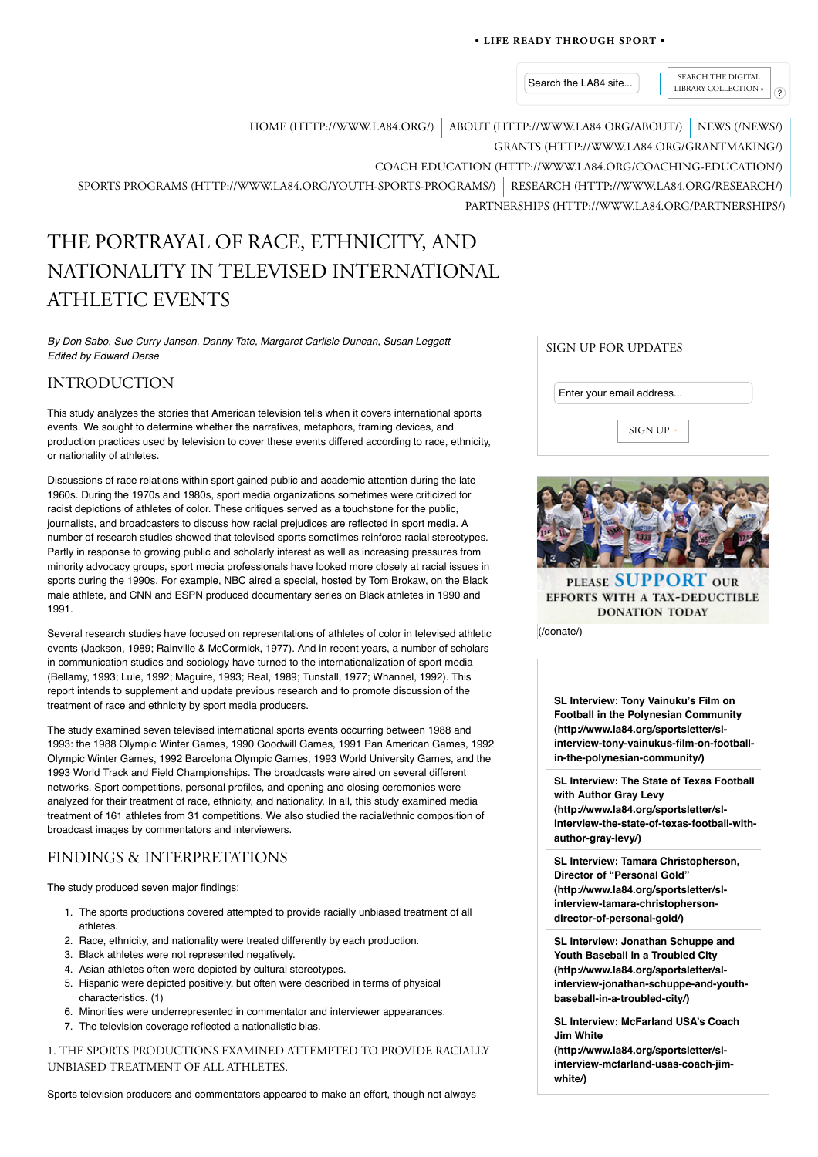## **• LIFE READY THROUGH SPORT •**

Search the LA84 site...  $\left|\right|$  SEARCH THE DIGITAL LIBRARY COLLECTION »

HOME (HTTP://WWW.LA84.ORG/) ABOUT (HTTP://WWW.LA84.ORG/ABOUT/) NEWS (/NEWS/)

GRANTS (HTTP://WWW.LA84.ORG/GRANTMAKING/)

COACH EDUCATION (HTTP://WWW.LA84.ORG/COACHING-EDUCATION/)

SPORTS PROGRAMS (HTTP://WWW.LA84.ORG/YOUTH-SPORTS-PROGRAMS/) RESEARCH (HTTP://WWW.LA84.ORG/RESEARCH/) PARTNERSHIPS (HTTP://WWW.LA84.ORG/PARTNERSHIPS/)

# THE PORTRAYAL OF RACE, ETHNICITY, AND NATIONALITY IN TELEVISED INTERNATIONAL ATHLETIC EVENTS

*By Don Sabo, Sue Curry Jansen, Danny Tate, Margaret Carlisle Duncan, Susan Leggett Edited by Edward Derse*

# INTRODUCTION

This study analyzes the stories that American television tells when it covers international sports events. We sought to determine whether the narratives, metaphors, framing devices, and production practices used by television to cover these events differed according to race, ethnicity, or nationality of athletes.

Discussions of race relations within sport gained public and academic attention during the late 1960s. During the 1970s and 1980s, sport media organizations sometimes were criticized for racist depictions of athletes of color. These critiques served as a touchstone for the public, journalists, and broadcasters to discuss how racial prejudices are reflected in sport media. A number of research studies showed that televised sports sometimes reinforce racial stereotypes. Partly in response to growing public and scholarly interest as well as increasing pressures from minority advocacy groups, sport media professionals have looked more closely at racial issues in sports during the 1990s. For example, NBC aired a special, hosted by Tom Brokaw, on the Black male athlete, and CNN and ESPN produced documentary series on Black athletes in 1990 and 1991.

Several research studies have focused on representations of athletes of color in televised athletic events (Jackson, 1989; Rainville & McCormick, 1977). And in recent years, a number of scholars in communication studies and sociology have turned to the internationalization of sport media (Bellamy, 1993; Lule, 1992; Maguire, 1993; Real, 1989; Tunstall, 1977; Whannel, 1992). This report intends to supplement and update previous research and to promote discussion of the treatment of race and ethnicity by sport media producers.

The study examined seven televised international sports events occurring between 1988 and 1993: the 1988 Olympic Winter Games, 1990 Goodwill Games, 1991 Pan American Games, 1992 Olympic Winter Games, 1992 Barcelona Olympic Games, 1993 World University Games, and the 1993 World Track and Field Championships. The broadcasts were aired on several different networks. Sport competitions, personal profiles, and opening and closing ceremonies were analyzed for their treatment of race, ethnicity, and nationality. In all, this study examined media treatment of 161 athletes from 31 competitions. We also studied the racial/ethnic composition of broadcast images by commentators and interviewers.

# FINDINGS & INTERPRETATIONS

The study produced seven major findings:

- 1. The sports productions covered attempted to provide racially unbiased treatment of all athletes.
- 2. Race, ethnicity, and nationality were treated differently by each production.
- 3. Black athletes were not represented negatively.
- 4. Asian athletes often were depicted by cultural stereotypes.
- 5. Hispanic were depicted positively, but often were described in terms of physical characteristics. (1)
- 6. Minorities were underrepresented in commentator and interviewer appearances.
- 7. The television coverage reflected a nationalistic bias.

1. THE SPORTS PRODUCTIONS EXAMINED ATTEMPTED TO PROVIDE RACIALLY UNBIASED TREATMENT OF ALL ATHLETES.

Sports television producers and commentators appeared to make an effort, though not always

| SIGN UP FOR UPDATES      |           |
|--------------------------|-----------|
| Enter your email address |           |
|                          | SIGN UP » |



**SL Interview: Tony Vainuku's Film on Football in the Polynesian Community (http://www.la84.org/sportsletter/slinterview-tony-vainukus-film-on-footballin-the-polynesian-community/)**

**SL Interview: The State of Texas Football with Author Gray Levy (http://www.la84.org/sportsletter/slinterview-the-state-of-texas-football-withauthor-gray-levy/)**

**SL Interview: Tamara Christopherson, Director of "Personal Gold" (http://www.la84.org/sportsletter/slinterview-tamara-christophersondirector-of-personal-gold/)**

**SL Interview: Jonathan Schuppe and Youth Baseball in a Troubled City (http://www.la84.org/sportsletter/slinterview-jonathan-schuppe-and-youthbaseball-in-a-troubled-city/)**

**SL Interview: McFarland USA's Coach Jim White**

**(http://www.la84.org/sportsletter/slinterview-mcfarland-usas-coach-jimwhite/)**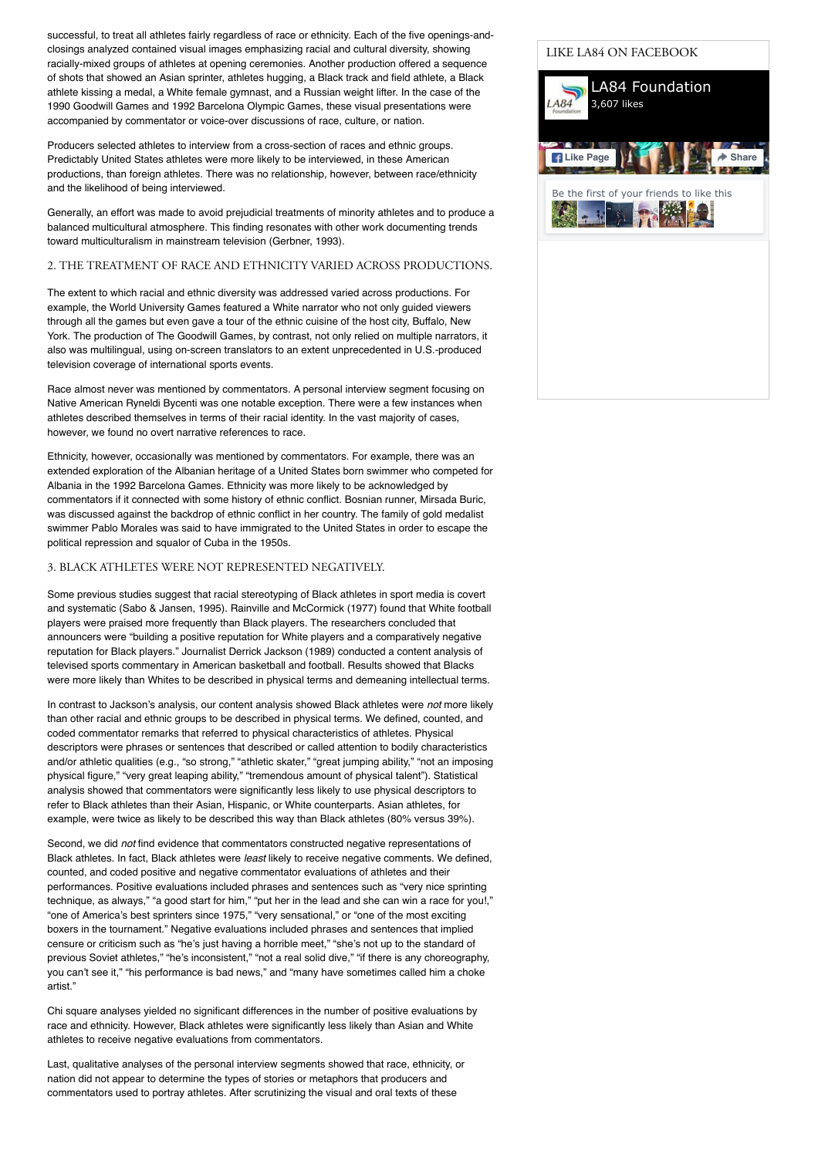successful, to treat all athletes fairly regardless of race or ethnicity. Each of the five openings-andclosings analyzed contained visual images emphasizing racial and cultural diversity, showing racially-mixed groups of athletes at opening ceremonies. Another production offered a sequence of shots that showed an Asian sprinter, athletes hugging, a Black track and field athlete, a Black athlete kissing a medal, a White female gymnast, and a Russian weight lifter. In the case of the 1990 Goodwill Games and 1992 Barcelona Olympic Games, these visual presentations were accompanied by commentator or voice-over discussions of race, culture, or nation.

Producers selected athletes to interview from a cross-section of races and ethnic groups. Predictably United States athletes were more likely to be interviewed, in these American productions, than foreign athletes. There was no relationship, however, between race/ethnicity and the likelihood of being interviewed.

Generally, an effort was made to avoid prejudicial treatments of minority athletes and to produce a balanced multicultural atmosphere. This finding resonates with other work documenting trends toward multiculturalism in mainstream television (Gerbner, 1993).

## 2. THE TREATMENT OF RACE AND ETHNICITY VARIED ACROSS PRODUCTIONS.

The extent to which racial and ethnic diversity was addressed varied across productions. For example, the World University Games featured a White narrator who not only guided viewers through all the games but even gave a tour of the ethnic cuisine of the host city, Buffalo, New York. The production of The Goodwill Games, by contrast, not only relied on multiple narrators, it also was multilingual, using on-screen translators to an extent unprecedented in U.S.-produced television coverage of international sports events.

Race almost never was mentioned by commentators. A personal interview segment focusing on Native American Ryneldi Bycenti was one notable exception. There were a few instances when athletes described themselves in terms of their racial identity. In the vast majority of cases, however, we found no overt narrative references to race.

Ethnicity, however, occasionally was mentioned by commentators. For example, there was an extended exploration of the Albanian heritage of a United States born swimmer who competed for Albania in the 1992 Barcelona Games. Ethnicity was more likely to be acknowledged by commentators if it connected with some history of ethnic conflict. Bosnian runner, Mirsada Buric, was discussed against the backdrop of ethnic conflict in her country. The family of gold medalist swimmer Pablo Morales was said to have immigrated to the United States in order to escape the political repression and squalor of Cuba in the 1950s.

## 3. BLACK ATHLETES WERE NOT REPRESENTED NEGATIVELY.

Some previous studies suggest that racial stereotyping of Black athletes in sport media is covert and systematic (Sabo & Jansen, 1995). Rainville and McCormick (1977) found that White football players were praised more frequently than Black players. The researchers concluded that announcers were "building a positive reputation for White players and a comparatively negative reputation for Black players." Journalist Derrick Jackson (1989) conducted a content analysis of televised sports commentary in American basketball and football. Results showed that Blacks were more likely than Whites to be described in physical terms and demeaning intellectual terms.

In contrast to Jackson's analysis, our content analysis showed Black athletes were *not* more likely than other racial and ethnic groups to be described in physical terms. We defined, counted, and coded commentator remarks that referred to physical characteristics of athletes. Physical descriptors were phrases or sentences that described or called attention to bodily characteristics and/or athletic qualities (e.g., "so strong," "athletic skater," "great jumping ability," "not an imposing physical figure," "very great leaping ability," "tremendous amount of physical talent"). Statistical analysis showed that commentators were significantly less likely to use physical descriptors to refer to Black athletes than their Asian, Hispanic, or White counterparts. Asian athletes, for example, were twice as likely to be described this way than Black athletes (80% versus 39%).

Second, we did *not* find evidence that commentators constructed negative representations of Black athletes. In fact, Black athletes were *least* likely to receive negative comments. We defined, counted, and coded positive and negative commentator evaluations of athletes and their performances. Positive evaluations included phrases and sentences such as "very nice sprinting technique, as always," "a good start for him," "put her in the lead and she can win a race for you!," "one of America's best sprinters since 1975," "very sensational," or "one of the most exciting boxers in the tournament." Negative evaluations included phrases and sentences that implied censure or criticism such as "he's just having a horrible meet," "she's not up to the standard of previous Soviet athletes," "he's inconsistent," "not a real solid dive," "if there is any choreography, you can't see it," "his performance is bad news," and "many have sometimes called him a choke artist."

Chi square analyses yielded no significant differences in the number of positive evaluations by race and ethnicity. However, Black athletes were significantly less likely than Asian and White athletes to receive negative evaluations from commentators.

Last, qualitative analyses of the personal interview segments showed that race, ethnicity, or nation did not appear to determine the types of stories or metaphors that producers and commentators used to portray athletes. After scrutinizing the visual and oral texts of these

## LIKE LA84 ON FACEBOOK

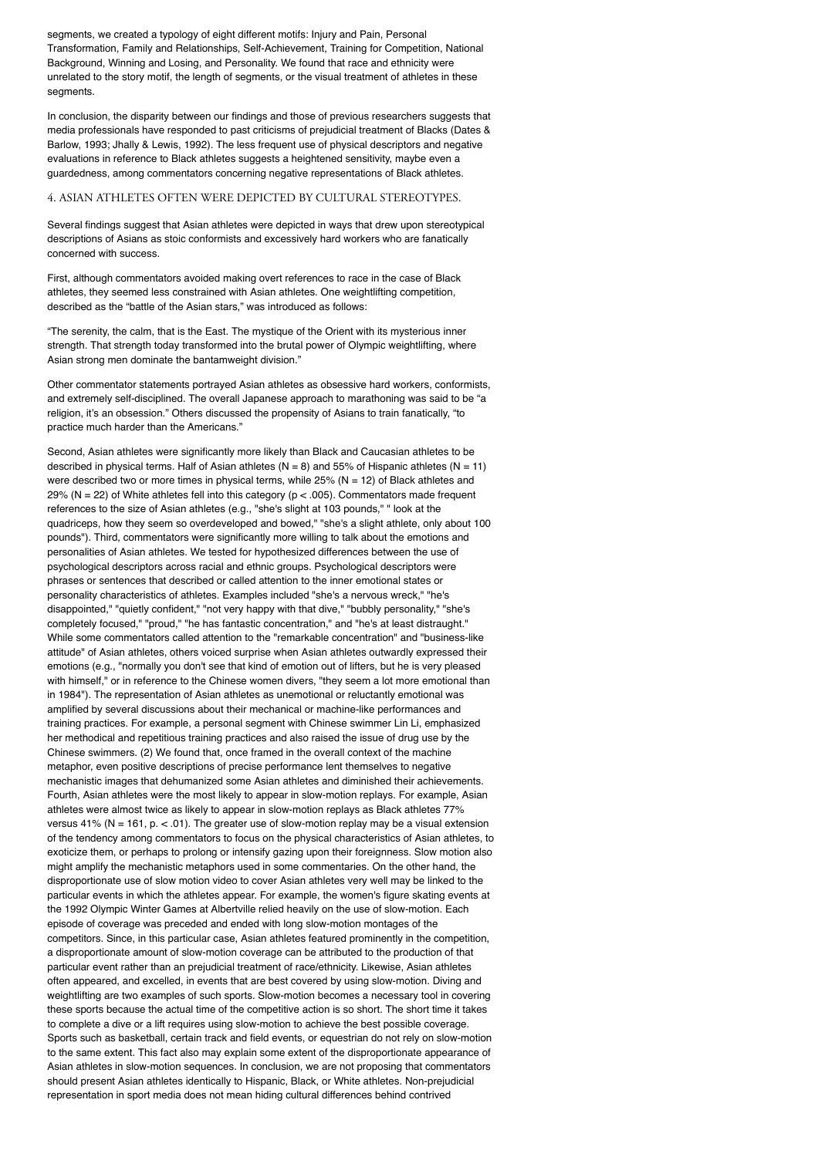segments, we created a typology of eight different motifs: Injury and Pain, Personal Transformation, Family and Relationships, Self-Achievement, Training for Competition, National Background, Winning and Losing, and Personality. We found that race and ethnicity were unrelated to the story motif, the length of segments, or the visual treatment of athletes in these segments.

In conclusion, the disparity between our findings and those of previous researchers suggests that media professionals have responded to past criticisms of prejudicial treatment of Blacks (Dates & Barlow, 1993; Jhally & Lewis, 1992). The less frequent use of physical descriptors and negative evaluations in reference to Black athletes suggests a heightened sensitivity, maybe even a guardedness, among commentators concerning negative representations of Black athletes.

## 4. ASIAN ATHLETES OFTEN WERE DEPICTED BY CULTURAL STEREOTYPES.

Several findings suggest that Asian athletes were depicted in ways that drew upon stereotypical descriptions of Asians as stoic conformists and excessively hard workers who are fanatically concerned with success.

First, although commentators avoided making overt references to race in the case of Black athletes, they seemed less constrained with Asian athletes. One weightlifting competition, described as the "battle of the Asian stars," was introduced as follows:

"The serenity, the calm, that is the East. The mystique of the Orient with its mysterious inner strength. That strength today transformed into the brutal power of Olympic weightlifting, where Asian strong men dominate the bantamweight division."

Other commentator statements portrayed Asian athletes as obsessive hard workers, conformists, and extremely self-disciplined. The overall Japanese approach to marathoning was said to be "a religion, it's an obsession." Others discussed the propensity of Asians to train fanatically, "to practice much harder than the Americans."

Second. Asian athletes were significantly more likely than Black and Caucasian athletes to be described in physical terms. Half of Asian athletes ( $N = 8$ ) and 55% of Hispanic athletes ( $N = 11$ ) were described two or more times in physical terms, while  $25\%$  (N = 12) of Black athletes and 29% (N = 22) of White athletes fell into this category ( $p < .005$ ). Commentators made frequent references to the size of Asian athletes (e.g., "she's slight at 103 pounds," " look at the quadriceps, how they seem so overdeveloped and bowed," "she's a slight athlete, only about 100 pounds"). Third, commentators were significantly more willing to talk about the emotions and personalities of Asian athletes. We tested for hypothesized differences between the use of psychological descriptors across racial and ethnic groups. Psychological descriptors were phrases or sentences that described or called attention to the inner emotional states or personality characteristics of athletes. Examples included "she's a nervous wreck," "he's disappointed," "quietly confident," "not very happy with that dive," "bubbly personality," "she's completely focused," "proud," "he has fantastic concentration," and "he's at least distraught." While some commentators called attention to the "remarkable concentration" and "business-like attitude" of Asian athletes, others voiced surprise when Asian athletes outwardly expressed their emotions (e.g., "normally you don't see that kind of emotion out of lifters, but he is very pleased with himself," or in reference to the Chinese women divers, "they seem a lot more emotional than in 1984"). The representation of Asian athletes as unemotional or reluctantly emotional was amplified by several discussions about their mechanical or machine-like performances and training practices. For example, a personal segment with Chinese swimmer Lin Li, emphasized her methodical and repetitious training practices and also raised the issue of drug use by the Chinese swimmers. (2) We found that, once framed in the overall context of the machine metaphor, even positive descriptions of precise performance lent themselves to negative mechanistic images that dehumanized some Asian athletes and diminished their achievements. Fourth, Asian athletes were the most likely to appear in slow-motion replays. For example, Asian athletes were almost twice as likely to appear in slow-motion replays as Black athletes 77% versus 41% (N = 161, p.  $\lt$  .01). The greater use of slow-motion replay may be a visual extension of the tendency among commentators to focus on the physical characteristics of Asian athletes, to exoticize them, or perhaps to prolong or intensify gazing upon their foreignness. Slow motion also might amplify the mechanistic metaphors used in some commentaries. On the other hand, the disproportionate use of slow motion video to cover Asian athletes very well may be linked to the particular events in which the athletes appear. For example, the women's figure skating events at the 1992 Olympic Winter Games at Albertville relied heavily on the use of slow-motion. Each episode of coverage was preceded and ended with long slow-motion montages of the competitors. Since, in this particular case, Asian athletes featured prominently in the competition, a disproportionate amount of slow-motion coverage can be attributed to the production of that particular event rather than an prejudicial treatment of race/ethnicity. Likewise, Asian athletes often appeared, and excelled, in events that are best covered by using slow-motion. Diving and weightlifting are two examples of such sports. Slow-motion becomes a necessary tool in covering these sports because the actual time of the competitive action is so short. The short time it takes to complete a dive or a lift requires using slow-motion to achieve the best possible coverage. Sports such as basketball, certain track and field events, or equestrian do not rely on slow-motion to the same extent. This fact also may explain some extent of the disproportionate appearance of Asian athletes in slow-motion sequences. In conclusion, we are not proposing that commentators should present Asian athletes identically to Hispanic, Black, or White athletes. Non-prejudicial representation in sport media does not mean hiding cultural differences behind contrived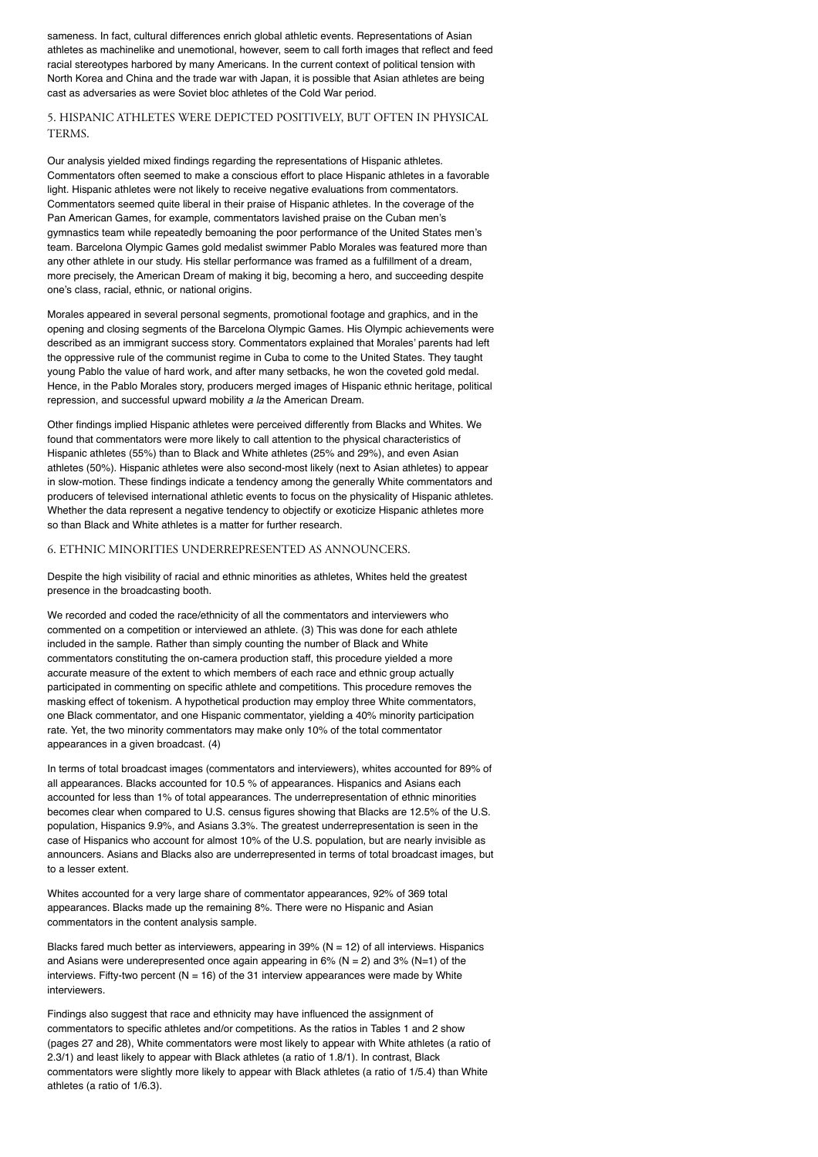sameness. In fact, cultural differences enrich global athletic events. Representations of Asian athletes as machinelike and unemotional, however, seem to call forth images that reflect and feed racial stereotypes harbored by many Americans. In the current context of political tension with North Korea and China and the trade war with Japan, it is possible that Asian athletes are being cast as adversaries as were Soviet bloc athletes of the Cold War period.

## 5. HISPANIC ATHLETES WERE DEPICTED POSITIVELY, BUT OFTEN IN PHYSICAL TERMS.

Our analysis yielded mixed findings regarding the representations of Hispanic athletes. Commentators often seemed to make a conscious effort to place Hispanic athletes in a favorable light. Hispanic athletes were not likely to receive negative evaluations from commentators. Commentators seemed quite liberal in their praise of Hispanic athletes. In the coverage of the Pan American Games, for example, commentators lavished praise on the Cuban men's gymnastics team while repeatedly bemoaning the poor performance of the United States men's team. Barcelona Olympic Games gold medalist swimmer Pablo Morales was featured more than any other athlete in our study. His stellar performance was framed as a fulfillment of a dream, more precisely, the American Dream of making it big, becoming a hero, and succeeding despite one's class, racial, ethnic, or national origins.

Morales appeared in several personal segments, promotional footage and graphics, and in the opening and closing segments of the Barcelona Olympic Games. His Olympic achievements were described as an immigrant success story. Commentators explained that Morales' parents had left the oppressive rule of the communist regime in Cuba to come to the United States. They taught young Pablo the value of hard work, and after many setbacks, he won the coveted gold medal. Hence, in the Pablo Morales story, producers merged images of Hispanic ethnic heritage, political repression, and successful upward mobility *a la* the American Dream.

Other findings implied Hispanic athletes were perceived differently from Blacks and Whites. We found that commentators were more likely to call attention to the physical characteristics of Hispanic athletes (55%) than to Black and White athletes (25% and 29%), and even Asian athletes (50%). Hispanic athletes were also second-most likely (next to Asian athletes) to appear in slow-motion. These findings indicate a tendency among the generally White commentators and producers of televised international athletic events to focus on the physicality of Hispanic athletes. Whether the data represent a negative tendency to objectify or exoticize Hispanic athletes more so than Black and White athletes is a matter for further research.

#### 6. ETHNIC MINORITIES UNDERREPRESENTED AS ANNOUNCERS.

Despite the high visibility of racial and ethnic minorities as athletes, Whites held the greatest presence in the broadcasting booth.

We recorded and coded the race/ethnicity of all the commentators and interviewers who commented on a competition or interviewed an athlete. (3) This was done for each athlete included in the sample. Rather than simply counting the number of Black and White commentators constituting the on-camera production staff, this procedure yielded a more accurate measure of the extent to which members of each race and ethnic group actually participated in commenting on specific athlete and competitions. This procedure removes the masking effect of tokenism. A hypothetical production may employ three White commentators, one Black commentator, and one Hispanic commentator, yielding a 40% minority participation rate. Yet, the two minority commentators may make only 10% of the total commentator appearances in a given broadcast. (4)

In terms of total broadcast images (commentators and interviewers), whites accounted for 89% of all appearances. Blacks accounted for 10.5 % of appearances. Hispanics and Asians each accounted for less than 1% of total appearances. The underrepresentation of ethnic minorities becomes clear when compared to U.S. census figures showing that Blacks are 12.5% of the U.S. population, Hispanics 9.9%, and Asians 3.3%. The greatest underrepresentation is seen in the case of Hispanics who account for almost 10% of the U.S. population, but are nearly invisible as announcers. Asians and Blacks also are underrepresented in terms of total broadcast images, but to a lesser extent.

Whites accounted for a very large share of commentator appearances, 92% of 369 total appearances. Blacks made up the remaining 8%. There were no Hispanic and Asian commentators in the content analysis sample.

Blacks fared much better as interviewers, appearing in  $39%$  (N = 12) of all interviews. Hispanics and Asians were underepresented once again appearing in  $6\%$  (N = 2) and 3% (N=1) of the interviews. Fifty-two percent ( $N = 16$ ) of the 31 interview appearances were made by White interviewers

Findings also suggest that race and ethnicity may have influenced the assignment of commentators to specific athletes and/or competitions. As the ratios in Tables 1 and 2 show (pages 27 and 28), White commentators were most likely to appear with White athletes (a ratio of 2.3/1) and least likely to appear with Black athletes (a ratio of 1.8/1). In contrast, Black commentators were slightly more likely to appear with Black athletes (a ratio of 1/5.4) than White athletes (a ratio of 1/6.3).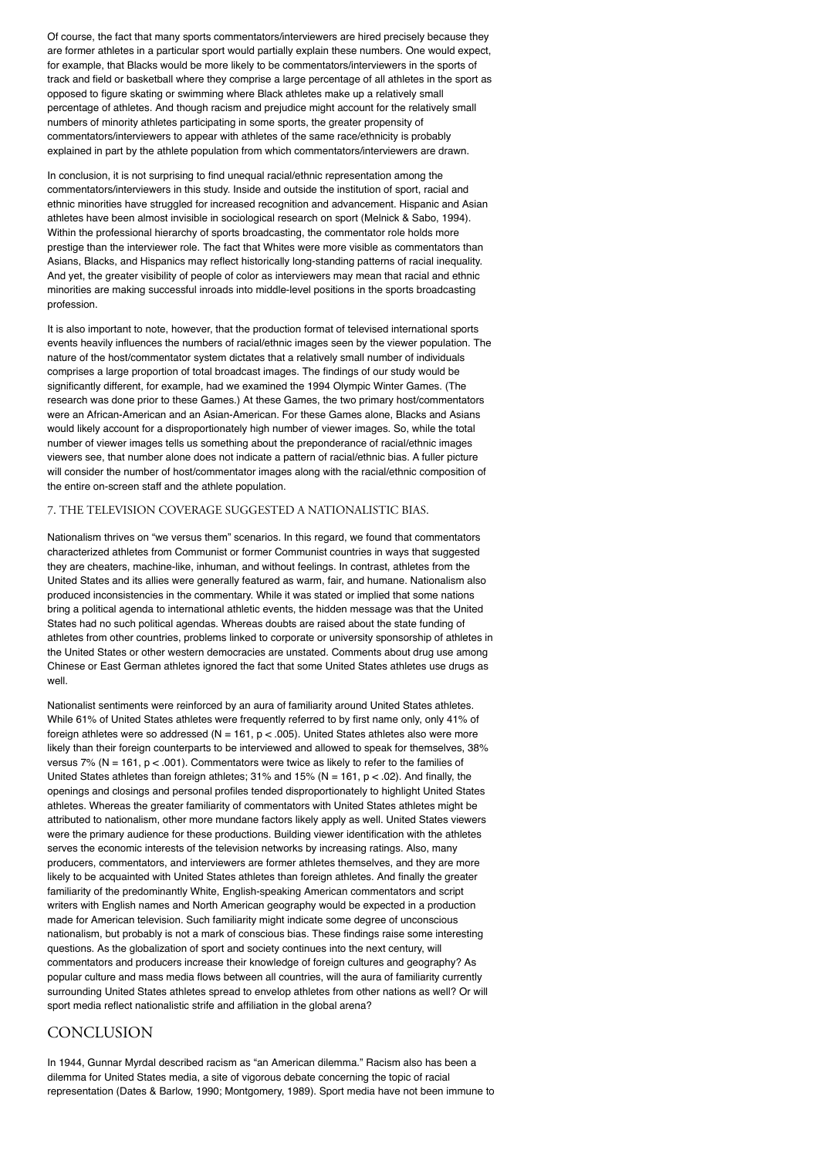Of course, the fact that many sports commentators/interviewers are hired precisely because they are former athletes in a particular sport would partially explain these numbers. One would expect, for example, that Blacks would be more likely to be commentators/interviewers in the sports of track and field or basketball where they comprise a large percentage of all athletes in the sport as opposed to figure skating or swimming where Black athletes make up a relatively small percentage of athletes. And though racism and prejudice might account for the relatively small numbers of minority athletes participating in some sports, the greater propensity of commentators/interviewers to appear with athletes of the same race/ethnicity is probably explained in part by the athlete population from which commentators/interviewers are drawn.

In conclusion, it is not surprising to find unequal racial/ethnic representation among the commentators/interviewers in this study. Inside and outside the institution of sport, racial and ethnic minorities have struggled for increased recognition and advancement. Hispanic and Asian athletes have been almost invisible in sociological research on sport (Melnick & Sabo, 1994). Within the professional hierarchy of sports broadcasting, the commentator role holds more prestige than the interviewer role. The fact that Whites were more visible as commentators than Asians, Blacks, and Hispanics may reflect historically long-standing patterns of racial inequality. And yet, the greater visibility of people of color as interviewers may mean that racial and ethnic minorities are making successful inroads into middle-level positions in the sports broadcasting profession.

It is also important to note, however, that the production format of televised international sports events heavily influences the numbers of racial/ethnic images seen by the viewer population. The nature of the host/commentator system dictates that a relatively small number of individuals comprises a large proportion of total broadcast images. The findings of our study would be significantly different, for example, had we examined the 1994 Olympic Winter Games. (The research was done prior to these Games.) At these Games, the two primary host/commentators were an African-American and an Asian-American. For these Games alone, Blacks and Asians would likely account for a disproportionately high number of viewer images. So, while the total number of viewer images tells us something about the preponderance of racial/ethnic images viewers see, that number alone does not indicate a pattern of racial/ethnic bias. A fuller picture will consider the number of host/commentator images along with the racial/ethnic composition of the entire on-screen staff and the athlete population.

## 7. THE TELEVISION COVERAGE SUGGESTED A NATIONALISTIC BIAS.

Nationalism thrives on "we versus them" scenarios. In this regard, we found that commentators characterized athletes from Communist or former Communist countries in ways that suggested they are cheaters, machine-like, inhuman, and without feelings. In contrast, athletes from the United States and its allies were generally featured as warm, fair, and humane. Nationalism also produced inconsistencies in the commentary. While it was stated or implied that some nations bring a political agenda to international athletic events, the hidden message was that the United States had no such political agendas. Whereas doubts are raised about the state funding of athletes from other countries, problems linked to corporate or university sponsorship of athletes in the United States or other western democracies are unstated. Comments about drug use among Chinese or East German athletes ignored the fact that some United States athletes use drugs as well.

Nationalist sentiments were reinforced by an aura of familiarity around United States athletes. While 61% of United States athletes were frequently referred to by first name only, only 41% of foreign athletes were so addressed ( $N = 161$ ,  $p < .005$ ). United States athletes also were more likely than their foreign counterparts to be interviewed and allowed to speak for themselves, 38% versus 7% (N = 161,  $p < .001$ ). Commentators were twice as likely to refer to the families of United States athletes than foreign athletes;  $31\%$  and  $15\%$  (N = 161, p < .02). And finally, the openings and closings and personal profiles tended disproportionately to highlight United States athletes. Whereas the greater familiarity of commentators with United States athletes might be attributed to nationalism, other more mundane factors likely apply as well. United States viewers were the primary audience for these productions. Building viewer identification with the athletes serves the economic interests of the television networks by increasing ratings. Also, many producers, commentators, and interviewers are former athletes themselves, and they are more likely to be acquainted with United States athletes than foreign athletes. And finally the greater familiarity of the predominantly White, English-speaking American commentators and script writers with English names and North American geography would be expected in a production made for American television. Such familiarity might indicate some degree of unconscious nationalism, but probably is not a mark of conscious bias. These findings raise some interesting questions. As the globalization of sport and society continues into the next century, will commentators and producers increase their knowledge of foreign cultures and geography? As popular culture and mass media flows between all countries, will the aura of familiarity currently surrounding United States athletes spread to envelop athletes from other nations as well? Or will sport media reflect nationalistic strife and affiliation in the global arena?

# **CONCLUSION**

In 1944, Gunnar Myrdal described racism as "an American dilemma." Racism also has been a dilemma for United States media, a site of vigorous debate concerning the topic of racial representation (Dates & Barlow, 1990; Montgomery, 1989). Sport media have not been immune to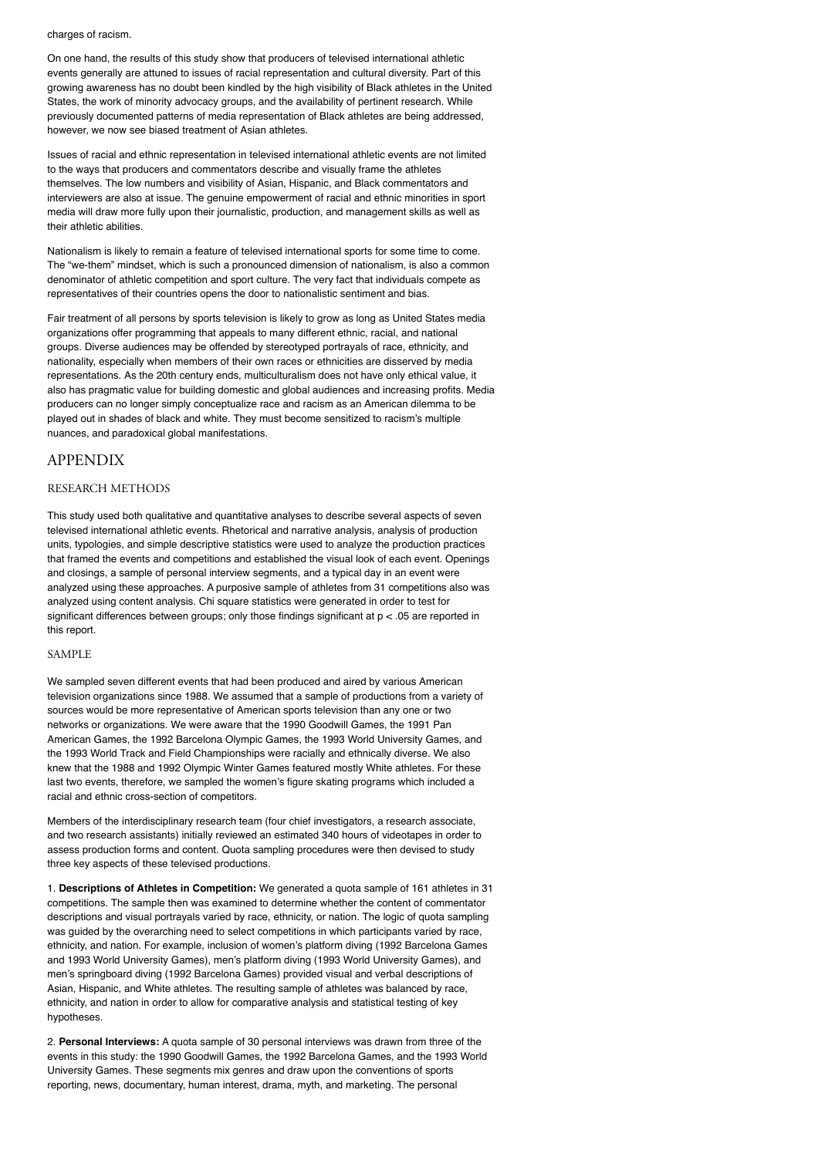charges of racism.

On one hand, the results of this study show that producers of televised international athletic events generally are attuned to issues of racial representation and cultural diversity. Part of this growing awareness has no doubt been kindled by the high visibility of Black athletes in the United States, the work of minority advocacy groups, and the availability of pertinent research. While previously documented patterns of media representation of Black athletes are being addressed, however, we now see biased treatment of Asian athletes.

Issues of racial and ethnic representation in televised international athletic events are not limited to the ways that producers and commentators describe and visually frame the athletes themselves. The low numbers and visibility of Asian, Hispanic, and Black commentators and interviewers are also at issue. The genuine empowerment of racial and ethnic minorities in sport media will draw more fully upon their journalistic, production, and management skills as well as their athletic abilities.

Nationalism is likely to remain a feature of televised international sports for some time to come. The "we-them" mindset, which is such a pronounced dimension of nationalism, is also a common denominator of athletic competition and sport culture. The very fact that individuals compete as representatives of their countries opens the door to nationalistic sentiment and bias.

Fair treatment of all persons by sports television is likely to grow as long as United States media organizations offer programming that appeals to many different ethnic, racial, and national groups. Diverse audiences may be offended by stereotyped portrayals of race, ethnicity, and nationality, especially when members of their own races or ethnicities are disserved by media representations. As the 20th century ends, multiculturalism does not have only ethical value, it also has pragmatic value for building domestic and global audiences and increasing profits. Media producers can no longer simply conceptualize race and racism as an American dilemma to be played out in shades of black and white. They must become sensitized to racism's multiple nuances, and paradoxical global manifestations.

## APPENDIX

## RESEARCH METHODS

This study used both qualitative and quantitative analyses to describe several aspects of seven televised international athletic events. Rhetorical and narrative analysis, analysis of production units, typologies, and simple descriptive statistics were used to analyze the production practices that framed the events and competitions and established the visual look of each event. Openings and closings, a sample of personal interview segments, and a typical day in an event were analyzed using these approaches. A purposive sample of athletes from 31 competitions also was analyzed using content analysis. Chi square statistics were generated in order to test for significant differences between groups; only those findings significant at p < .05 are reported in this report.

#### SAMPLE

We sampled seven different events that had been produced and aired by various American television organizations since 1988. We assumed that a sample of productions from a variety of sources would be more representative of American sports television than any one or two networks or organizations. We were aware that the 1990 Goodwill Games, the 1991 Pan American Games, the 1992 Barcelona Olympic Games, the 1993 World University Games, and the 1993 World Track and Field Championships were racially and ethnically diverse. We also knew that the 1988 and 1992 Olympic Winter Games featured mostly White athletes. For these last two events, therefore, we sampled the women's figure skating programs which included a racial and ethnic cross-section of competitors.

Members of the interdisciplinary research team (four chief investigators, a research associate, and two research assistants) initially reviewed an estimated 340 hours of videotapes in order to assess production forms and content. Quota sampling procedures were then devised to study three key aspects of these televised productions.

1. **Descriptions of Athletes in Competition:** We generated a quota sample of 161 athletes in 31 competitions. The sample then was examined to determine whether the content of commentator descriptions and visual portrayals varied by race, ethnicity, or nation. The logic of quota sampling was guided by the overarching need to select competitions in which participants varied by race, ethnicity, and nation. For example, inclusion of women's platform diving (1992 Barcelona Games and 1993 World University Games), men's platform diving (1993 World University Games), and men's springboard diving (1992 Barcelona Games) provided visual and verbal descriptions of Asian, Hispanic, and White athletes. The resulting sample of athletes was balanced by race, ethnicity, and nation in order to allow for comparative analysis and statistical testing of key hypotheses.

2. **Personal Interviews:** A quota sample of 30 personal interviews was drawn from three of the events in this study: the 1990 Goodwill Games, the 1992 Barcelona Games, and the 1993 World University Games. These segments mix genres and draw upon the conventions of sports reporting, news, documentary, human interest, drama, myth, and marketing. The personal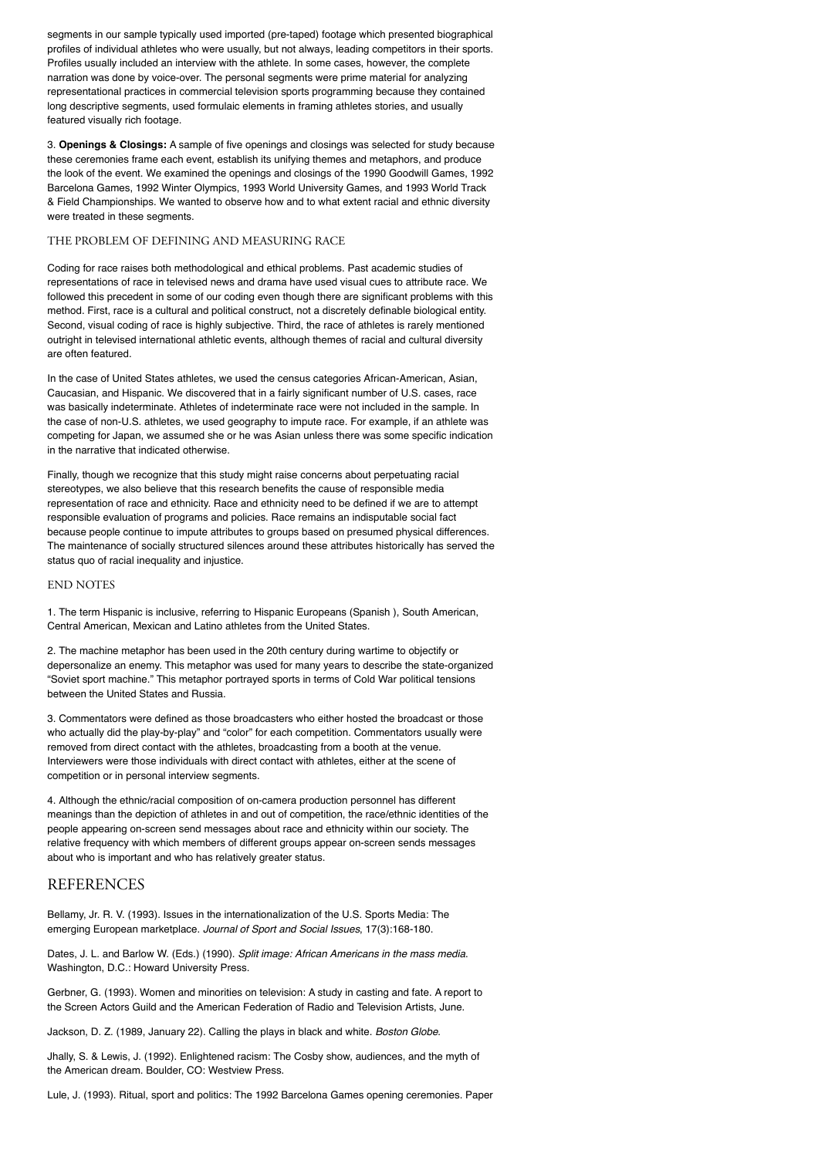segments in our sample typically used imported (pre-taped) footage which presented biographical profiles of individual athletes who were usually, but not always, leading competitors in their sports. Profiles usually included an interview with the athlete. In some cases, however, the complete narration was done by voice-over. The personal segments were prime material for analyzing representational practices in commercial television sports programming because they contained long descriptive segments, used formulaic elements in framing athletes stories, and usually featured visually rich footage.

3. **Openings & Closings:** A sample of five openings and closings was selected for study because these ceremonies frame each event, establish its unifying themes and metaphors, and produce the look of the event. We examined the openings and closings of the 1990 Goodwill Games, 1992 Barcelona Games, 1992 Winter Olympics, 1993 World University Games, and 1993 World Track & Field Championships. We wanted to observe how and to what extent racial and ethnic diversity were treated in these segments.

## THE PROBLEM OF DEFINING AND MEASURING RACE

Coding for race raises both methodological and ethical problems. Past academic studies of representations of race in televised news and drama have used visual cues to attribute race. We followed this precedent in some of our coding even though there are significant problems with this method. First, race is a cultural and political construct, not a discretely definable biological entity. Second, visual coding of race is highly subjective. Third, the race of athletes is rarely mentioned outright in televised international athletic events, although themes of racial and cultural diversity are often featured.

In the case of United States athletes, we used the census categories African-American, Asian, Caucasian, and Hispanic. We discovered that in a fairly significant number of U.S. cases, race was basically indeterminate. Athletes of indeterminate race were not included in the sample. In the case of non-U.S. athletes, we used geography to impute race. For example, if an athlete was competing for Japan, we assumed she or he was Asian unless there was some specific indication in the narrative that indicated otherwise.

Finally, though we recognize that this study might raise concerns about perpetuating racial stereotypes, we also believe that this research benefits the cause of responsible media representation of race and ethnicity. Race and ethnicity need to be defined if we are to attempt responsible evaluation of programs and policies. Race remains an indisputable social fact because people continue to impute attributes to groups based on presumed physical differences. The maintenance of socially structured silences around these attributes historically has served the status quo of racial inequality and injustice.

## END NOTES

1. The term Hispanic is inclusive, referring to Hispanic Europeans (Spanish ), South American, Central American, Mexican and Latino athletes from the United States.

2. The machine metaphor has been used in the 20th century during wartime to objectify or depersonalize an enemy. This metaphor was used for many years to describe the state-organized "Soviet sport machine." This metaphor portrayed sports in terms of Cold War political tensions between the United States and Russia.

3. Commentators were defined as those broadcasters who either hosted the broadcast or those who actually did the play-by-play" and "color" for each competition. Commentators usually were removed from direct contact with the athletes, broadcasting from a booth at the venue. Interviewers were those individuals with direct contact with athletes, either at the scene of competition or in personal interview segments.

4. Although the ethnic/racial composition of on-camera production personnel has different meanings than the depiction of athletes in and out of competition, the race/ethnic identities of the people appearing on-screen send messages about race and ethnicity within our society. The relative frequency with which members of different groups appear on-screen sends messages about who is important and who has relatively greater status.

### REFERENCES

Bellamy, Jr. R. V. (1993). Issues in the internationalization of the U.S. Sports Media: The emerging European marketplace. *Journal of Sport and Social Issues*, 17(3):168-180.

Dates, J. L. and Barlow W. (Eds.) (1990). *Split image: African Americans in the mass media*. Washington, D.C.: Howard University Press.

Gerbner, G. (1993). Women and minorities on television: A study in casting and fate. A report to the Screen Actors Guild and the American Federation of Radio and Television Artists, June.

Jackson, D. Z. (1989, January 22). Calling the plays in black and white. *Boston Globe*.

Jhally, S. & Lewis, J. (1992). Enlightened racism: The Cosby show, audiences, and the myth of the American dream. Boulder, CO: Westview Press.

Lule, J. (1993). Ritual, sport and politics: The 1992 Barcelona Games opening ceremonies. Paper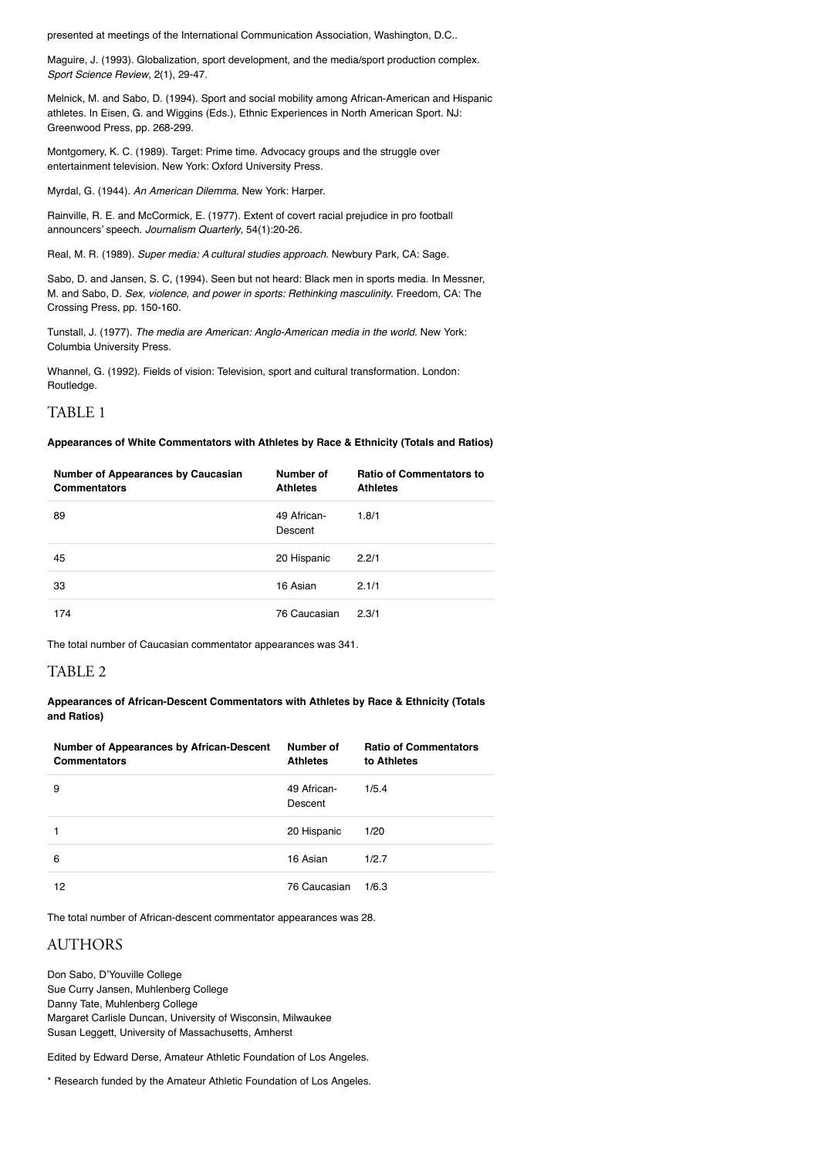presented at meetings of the International Communication Association, Washington, D.C..

Maguire, J. (1993). Globalization, sport development, and the media/sport production complex. *Sport Science Review*, 2(1), 29-47.

Melnick, M. and Sabo, D. (1994). Sport and social mobility among African-American and Hispanic athletes. In Eisen, G. and Wiggins (Eds.), Ethnic Experiences in North American Sport. NJ: Greenwood Press, pp. 268-299.

Montgomery, K. C. (1989). Target: Prime time. Advocacy groups and the struggle over entertainment television. New York: Oxford University Press.

Myrdal, G. (1944). *An American Dilemma*. New York: Harper.

Rainville, R. E. and McCormick, E. (1977). Extent of covert racial prejudice in pro football announcers' speech. *Journalism Quarterly*, 54(1):20-26.

Real, M. R. (1989). *Super media: A cultural studies approach*. Newbury Park, CA: Sage.

Sabo, D. and Jansen, S. C, (1994). Seen but not heard: Black men in sports media. In Messner, M. and Sabo, D. *Sex, violence, and power in sports: Rethinking masculinity*. Freedom, CA: The Crossing Press, pp. 150-160.

Tunstall, J. (1977). *The media are American: Anglo-American media in the world*. New York: Columbia University Press.

Whannel, G. (1992). Fields of vision: Television, sport and cultural transformation. London: Routledge.

# TABLE 1

#### **Appearances of White Commentators with Athletes by Race & Ethnicity (Totals and Ratios)**

| <b>Number of Appearances by Caucasian</b><br><b>Commentators</b> | Number of<br><b>Athletes</b> | <b>Ratio of Commentators to</b><br><b>Athletes</b> |
|------------------------------------------------------------------|------------------------------|----------------------------------------------------|
| 89                                                               | 49 African-<br>Descent       | 1.8/1                                              |
| 45                                                               | 20 Hispanic                  | 2.2/1                                              |
| 33                                                               | 16 Asian                     | 2.1/1                                              |
| 174                                                              | 76 Caucasian                 | 2.3/1                                              |

The total number of Caucasian commentator appearances was 341.

## TABLE 2

**Appearances of African-Descent Commentators with Athletes by Race & Ethnicity (Totals and Ratios)**

| <b>Number of Appearances by African-Descent</b><br><b>Commentators</b> | Number of<br><b>Athletes</b> | <b>Ratio of Commentators</b><br>to Athletes |
|------------------------------------------------------------------------|------------------------------|---------------------------------------------|
| 9                                                                      | 49 African-<br>Descent       | 1/5.4                                       |
|                                                                        | 20 Hispanic                  | 1/20                                        |
| 6                                                                      | 16 Asian                     | 1/2.7                                       |
| 12                                                                     | 76 Caucasian                 | 1/6.3                                       |

The total number of African-descent commentator appearances was 28.

## AUTHORS

Don Sabo, D'Youville College Sue Curry Jansen, Muhlenberg College Danny Tate, Muhlenberg College Margaret Carlisle Duncan, University of Wisconsin, Milwaukee Susan Leggett, University of Massachusetts, Amherst

Edited by Edward Derse, Amateur Athletic Foundation of Los Angeles.

\* Research funded by the Amateur Athletic Foundation of Los Angeles.